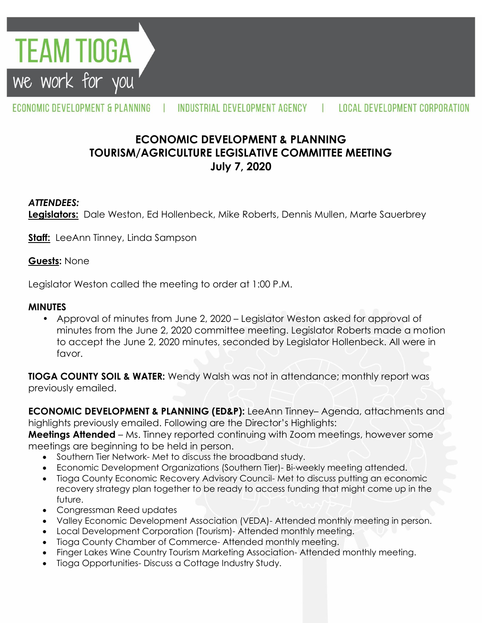

#### ECONOMIC DEVELOPMENT & PLANNING INDUSTRIAL DEVELOPMENT AGENCY LOCAL DEVELOPMENT CORPORATION

# **ECONOMIC DEVELOPMENT & PLANNING TOURISM/AGRICULTURE LEGISLATIVE COMMITTEE MEETING July 7, 2020**

## *ATTENDEES:*

**Legislators:** Dale Weston, Ed Hollenbeck, Mike Roberts, Dennis Mullen, Marte Sauerbrey

**Staff:** LeeAnn Tinney, Linda Sampson

#### **Guests:** None

Legislator Weston called the meeting to order at 1:00 P.M.

### **MINUTES**

• Approval of minutes from June 2, 2020 – Legislator Weston asked for approval of minutes from the June 2, 2020 committee meeting. Legislator Roberts made a motion to accept the June 2, 2020 minutes, seconded by Legislator Hollenbeck. All were in favor.

**TIOGA COUNTY SOIL & WATER:** Wendy Walsh was not in attendance; monthly report was previously emailed.

**ECONOMIC DEVELOPMENT & PLANNING (ED&P):** LeeAnn Tinney– Agenda, attachments and highlights previously emailed. Following are the Director's Highlights:

**Meetings Attended** – Ms. Tinney reported continuing with Zoom meetings, however some meetings are beginning to be held in person.

- Southern Tier Network- Met to discuss the broadband study.
- Economic Development Organizations (Southern Tier)- Bi-weekly meeting attended.
- Tioga County Economic Recovery Advisory Council- Met to discuss putting an economic recovery strategy plan together to be ready to access funding that might come up in the future.
- Congressman Reed updates
- Valley Economic Development Association (VEDA)- Attended monthly meeting in person.
- Local Development Corporation (Tourism)- Attended monthly meeting.
- Tioga County Chamber of Commerce- Attended monthly meeting.
- Finger Lakes Wine Country Tourism Marketing Association- Attended monthly meeting.
- Tioga Opportunities- Discuss a Cottage Industry Study.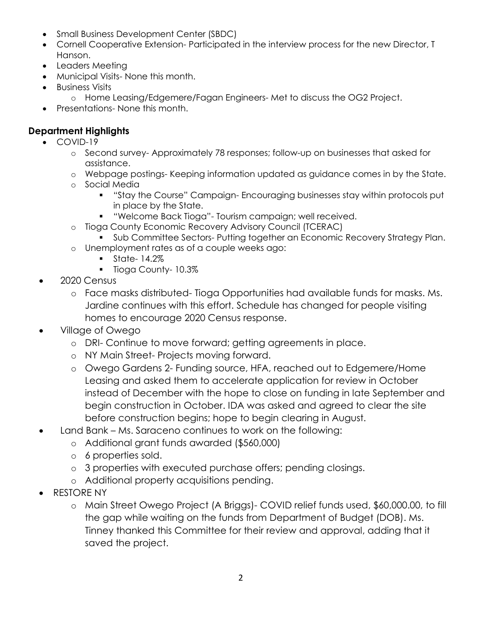- Small Business Development Center (SBDC)
- Cornell Cooperative Extension- Participated in the interview process for the new Director, T Hanson.
- Leaders Meeting
- Municipal Visits- None this month.
- **•** Business Visits
	- o Home Leasing/Edgemere/Fagan Engineers- Met to discuss the OG2 Project.
- Presentations- None this month.

# **Department Highlights**

- COVID-19
	- o Second survey- Approximately 78 responses; follow-up on businesses that asked for assistance.
	- o Webpage postings- Keeping information updated as guidance comes in by the State.
	- o Social Media
		- "Stay the Course" Campaign- Encouraging businesses stay within protocols put in place by the State.
		- "Welcome Back Tioga"- Tourism campaign; well received.
	- o Tioga County Economic Recovery Advisory Council (TCERAC)
		- **Sub Committee Sectors- Putting together an Economic Recovery Strategy Plan.**
	- o Unemployment rates as of a couple weeks ago:
		- $\blacksquare$  State- 14.2% **Tioga County- 10.3%**
- 2020 Census
	- o Face masks distributed- Tioga Opportunities had available funds for masks. Ms. Jardine continues with this effort. Schedule has changed for people visiting homes to encourage 2020 Census response.
- Village of Owego
	- o DRI- Continue to move forward; getting agreements in place.
	- o NY Main Street- Projects moving forward.
	- o Owego Gardens 2- Funding source, HFA, reached out to Edgemere/Home Leasing and asked them to accelerate application for review in October instead of December with the hope to close on funding in late September and begin construction in October. IDA was asked and agreed to clear the site before construction begins; hope to begin clearing in August.
- Land Bank Ms. Saraceno continues to work on the following:
	- o Additional grant funds awarded (\$560,000)
	- o 6 properties sold.
	- o 3 properties with executed purchase offers; pending closings.
	- o Additional property acquisitions pending.
- RESTORE NY
	- o Main Street Owego Project (A Briggs)- COVID relief funds used, \$60,000.00, to fill the gap while waiting on the funds from Department of Budget (DOB). Ms. Tinney thanked this Committee for their review and approval, adding that it saved the project.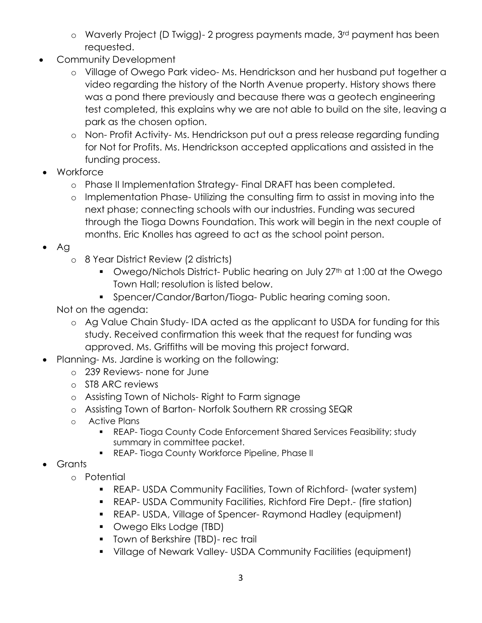- o Waverly Project (D Twigg)- 2 progress payments made, 3rd payment has been requested.
- Community Development
	- o Village of Owego Park video- Ms. Hendrickson and her husband put together a video regarding the history of the North Avenue property. History shows there was a pond there previously and because there was a geotech engineering test completed, this explains why we are not able to build on the site, leaving a park as the chosen option.
	- o Non- Profit Activity- Ms. Hendrickson put out a press release regarding funding for Not for Profits. Ms. Hendrickson accepted applications and assisted in the funding process.
- Workforce
	- o Phase II Implementation Strategy- Final DRAFT has been completed.
	- o Implementation Phase- Utilizing the consulting firm to assist in moving into the next phase; connecting schools with our industries. Funding was secured through the Tioga Downs Foundation. This work will begin in the next couple of months. Eric Knolles has agreed to act as the school point person.
- Ag
	- o 8 Year District Review (2 districts)
		- **•** Owego/Nichols District- Public hearing on July 27<sup>th</sup> at 1:00 at the Owego Town Hall; resolution is listed below.
		- **Spencer/Candor/Barton/Tioga- Public hearing coming soon.**

Not on the agenda:

- o Ag Value Chain Study- IDA acted as the applicant to USDA for funding for this study. Received confirmation this week that the request for funding was approved. Ms. Griffiths will be moving this project forward.
- Planning- Ms. Jardine is working on the following:
	- o 239 Reviews- none for June
	- o ST8 ARC reviews
	- o Assisting Town of Nichols- Right to Farm signage
	- o Assisting Town of Barton- Norfolk Southern RR crossing SEQR
	- o Active Plans
		- REAP- Tioga County Code Enforcement Shared Services Feasibility; study summary in committee packet.
		- **REAP- Tioga County Workforce Pipeline, Phase II**
- Grants
	- o Potential
		- REAP- USDA Community Facilities, Town of Richford- (water system)
		- REAP- USDA Community Facilities, Richford Fire Dept.- (fire station)
		- REAP- USDA, Village of Spencer- Raymond Hadley (equipment)
		- **•** Owego Elks Lodge (TBD)
		- **Town of Berkshire (TBD)- rec trail**
		- Village of Newark Valley- USDA Community Facilities (equipment)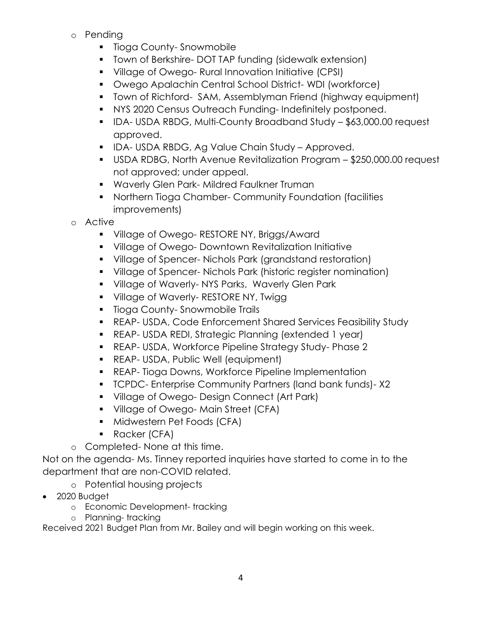- o Pending
	- **Tioga County-Snowmobile**
	- **T** Town of Berkshire- DOT TAP funding (sidewalk extension)
	- Village of Owego- Rural Innovation Initiative (CPSI)
	- Owego Apalachin Central School District- WDI (workforce)
	- Town of Richford- SAM, Assemblyman Friend (highway equipment)
	- NYS 2020 Census Outreach Funding- Indefinitely postponed.
	- IDA- USDA RBDG, Multi-County Broadband Study \$63,000.00 request approved.
	- IDA- USDA RBDG, Ag Value Chain Study Approved.
	- USDA RDBG, North Avenue Revitalization Program \$250,000.00 request not approved; under appeal.
	- Waverly Glen Park- Mildred Faulkner Truman
	- Northern Tioga Chamber- Community Foundation (facilities improvements)
- o Active
	- **Village of Owego- RESTORE NY, Briggs/Award**
	- Village of Owego- Downtown Revitalization Initiative
	- Village of Spencer- Nichols Park (grandstand restoration)
	- Village of Spencer- Nichols Park (historic register nomination)
	- **Village of Waverly-NYS Parks, Waverly Glen Park**
	- **Village of Waverly- RESTORE NY, Twigg**
	- **Tioga County-Snowmobile Trails**
	- REAP- USDA, Code Enforcement Shared Services Feasibility Study
	- REAP- USDA REDI, Strategic Planning (extended 1 year)
	- REAP- USDA, Workforce Pipeline Strategy Study- Phase 2
	- REAP- USDA, Public Well (equipment)
	- **REAP- Tioga Downs, Workforce Pipeline Implementation**
	- **TCPDC- Enterprise Community Partners (land bank funds)-X2**
	- **Village of Owego- Design Connect (Art Park)**
	- **Village of Owego-Main Street (CFA)**
	- **Midwestern Pet Foods (CFA)**
	- **Racker (CFA)**
- o Completed- None at this time.

Not on the agenda- Ms. Tinney reported inquiries have started to come in to the department that are non-COVID related.

- o Potential housing projects
- 2020 Budget
	- o Economic Development- tracking
	- o Planning- tracking

Received 2021 Budget Plan from Mr. Bailey and will begin working on this week.